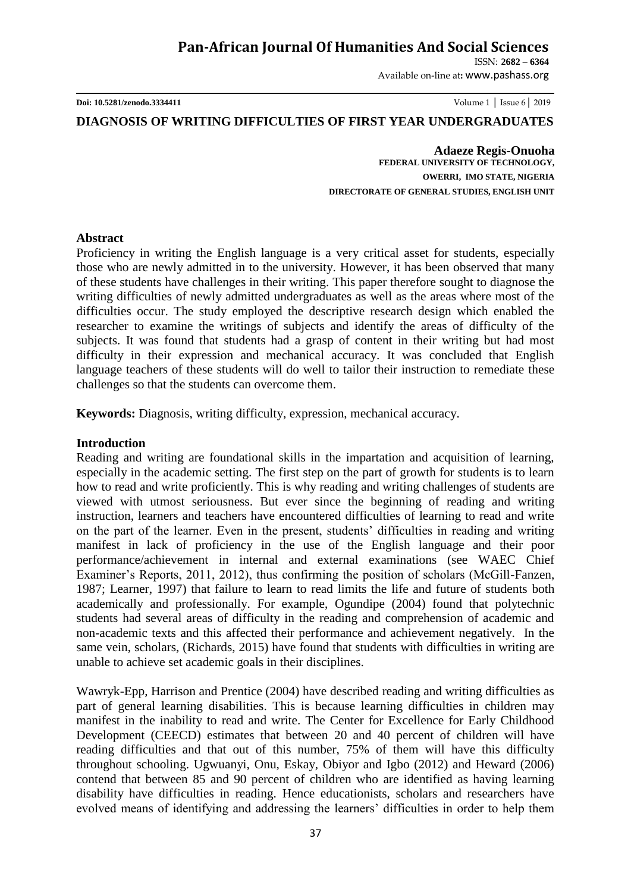# **Pan-African Journal Of Humanities And Social Sciences**

ISSN: **2682 – 6364**

Available on-line at**:** www.pashass.org

**Doi: 10.5281/zenodo.3334411** Volume 1 │ Issue 6│ 2019

## **DIAGNOSIS OF WRITING DIFFICULTIES OF FIRST YEAR UNDERGRADUATES**

 **Adaeze Regis-Onuoha FEDERAL UNIVERSITY OF TECHNOLOGY, OWERRI, IMO STATE, NIGERIA DIRECTORATE OF GENERAL STUDIES, ENGLISH UNIT**

#### **Abstract**

Proficiency in writing the English language is a very critical asset for students, especially those who are newly admitted in to the university. However, it has been observed that many of these students have challenges in their writing. This paper therefore sought to diagnose the writing difficulties of newly admitted undergraduates as well as the areas where most of the difficulties occur. The study employed the descriptive research design which enabled the researcher to examine the writings of subjects and identify the areas of difficulty of the subjects. It was found that students had a grasp of content in their writing but had most difficulty in their expression and mechanical accuracy. It was concluded that English language teachers of these students will do well to tailor their instruction to remediate these challenges so that the students can overcome them.

**Keywords:** Diagnosis, writing difficulty, expression, mechanical accuracy.

#### **Introduction**

Reading and writing are foundational skills in the impartation and acquisition of learning, especially in the academic setting. The first step on the part of growth for students is to learn how to read and write proficiently. This is why reading and writing challenges of students are viewed with utmost seriousness. But ever since the beginning of reading and writing instruction, learners and teachers have encountered difficulties of learning to read and write on the part of the learner. Even in the present, students' difficulties in reading and writing manifest in lack of proficiency in the use of the English language and their poor performance/achievement in internal and external examinations (see WAEC Chief Examiner's Reports, 2011, 2012), thus confirming the position of scholars (McGill-Fanzen, 1987; Learner, 1997) that failure to learn to read limits the life and future of students both academically and professionally. For example, Ogundipe (2004) found that polytechnic students had several areas of difficulty in the reading and comprehension of academic and non-academic texts and this affected their performance and achievement negatively. In the same vein, scholars, (Richards, 2015) have found that students with difficulties in writing are unable to achieve set academic goals in their disciplines.

Wawryk-Epp, Harrison and Prentice (2004) have described reading and writing difficulties as part of general learning disabilities. This is because learning difficulties in children may manifest in the inability to read and write. The Center for Excellence for Early Childhood Development (CEECD) estimates that between 20 and 40 percent of children will have reading difficulties and that out of this number, 75% of them will have this difficulty throughout schooling. Ugwuanyi, Onu, Eskay, Obiyor and Igbo (2012) and Heward (2006) contend that between 85 and 90 percent of children who are identified as having learning disability have difficulties in reading. Hence educationists, scholars and researchers have evolved means of identifying and addressing the learners' difficulties in order to help them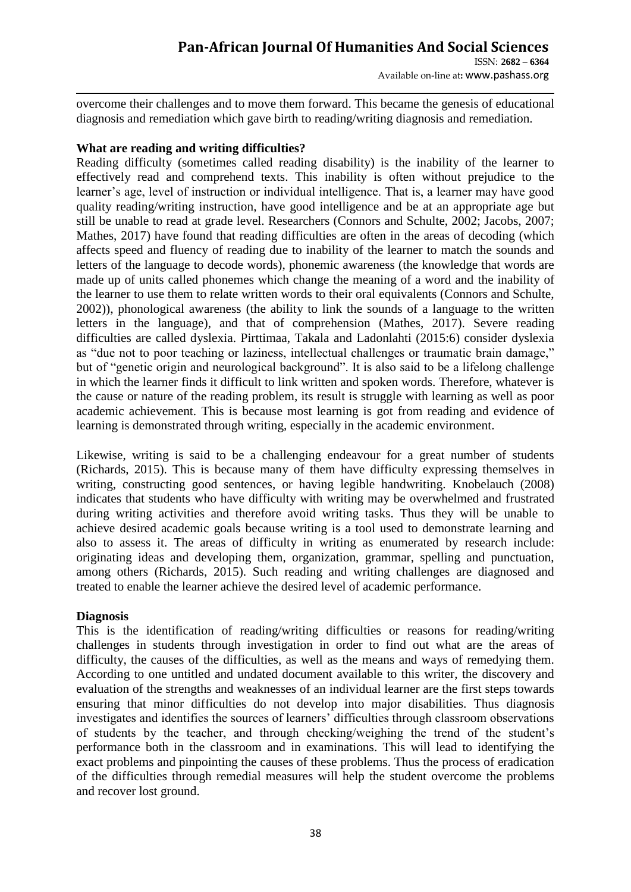Available on-line at**:** www.pashass.org

overcome their challenges and to move them forward. This became the genesis of educational diagnosis and remediation which gave birth to reading/writing diagnosis and remediation.

# **What are reading and writing difficulties?**

Reading difficulty (sometimes called reading disability) is the inability of the learner to effectively read and comprehend texts. This inability is often without prejudice to the learner's age, level of instruction or individual intelligence. That is, a learner may have good quality reading/writing instruction, have good intelligence and be at an appropriate age but still be unable to read at grade level. Researchers (Connors and Schulte, 2002; Jacobs, 2007; Mathes, 2017) have found that reading difficulties are often in the areas of decoding (which affects speed and fluency of reading due to inability of the learner to match the sounds and letters of the language to decode words), phonemic awareness (the knowledge that words are made up of units called phonemes which change the meaning of a word and the inability of the learner to use them to relate written words to their oral equivalents (Connors and Schulte, 2002)), phonological awareness (the ability to link the sounds of a language to the written letters in the language), and that of comprehension (Mathes, 2017). Severe reading difficulties are called dyslexia. Pirttimaa, Takala and Ladonlahti (2015:6) consider dyslexia as "due not to poor teaching or laziness, intellectual challenges or traumatic brain damage," but of "genetic origin and neurological background". It is also said to be a lifelong challenge in which the learner finds it difficult to link written and spoken words. Therefore, whatever is the cause or nature of the reading problem, its result is struggle with learning as well as poor academic achievement. This is because most learning is got from reading and evidence of learning is demonstrated through writing, especially in the academic environment.

Likewise, writing is said to be a challenging endeavour for a great number of students (Richards, 2015). This is because many of them have difficulty expressing themselves in writing, constructing good sentences, or having legible handwriting. Knobelauch (2008) indicates that students who have difficulty with writing may be overwhelmed and frustrated during writing activities and therefore avoid writing tasks. Thus they will be unable to achieve desired academic goals because writing is a tool used to demonstrate learning and also to assess it. The areas of difficulty in writing as enumerated by research include: originating ideas and developing them, organization, grammar, spelling and punctuation, among others (Richards, 2015). Such reading and writing challenges are diagnosed and treated to enable the learner achieve the desired level of academic performance.

#### **Diagnosis**

This is the identification of reading/writing difficulties or reasons for reading/writing challenges in students through investigation in order to find out what are the areas of difficulty, the causes of the difficulties, as well as the means and ways of remedying them. According to one untitled and undated document available to this writer, the discovery and evaluation of the strengths and weaknesses of an individual learner are the first steps towards ensuring that minor difficulties do not develop into major disabilities. Thus diagnosis investigates and identifies the sources of learners' difficulties through classroom observations of students by the teacher, and through checking/weighing the trend of the student's performance both in the classroom and in examinations. This will lead to identifying the exact problems and pinpointing the causes of these problems. Thus the process of eradication of the difficulties through remedial measures will help the student overcome the problems and recover lost ground.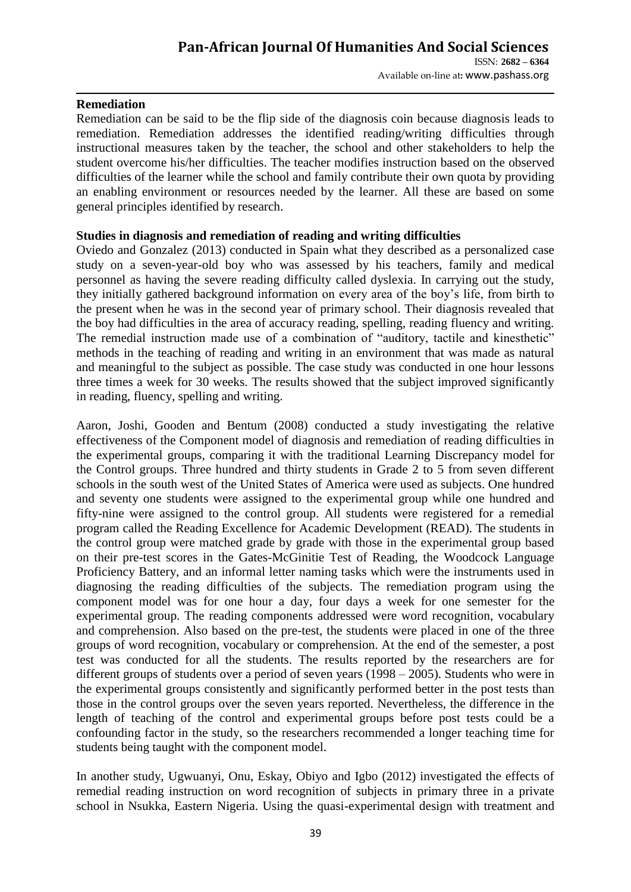### **Pan-African Journal Of Humanities And Social Sciences**  ISSN: **2682 – 6364** Available on-line at**:** www.pashass.org

#### **Remediation**

Remediation can be said to be the flip side of the diagnosis coin because diagnosis leads to remediation. Remediation addresses the identified reading/writing difficulties through instructional measures taken by the teacher, the school and other stakeholders to help the student overcome his/her difficulties. The teacher modifies instruction based on the observed difficulties of the learner while the school and family contribute their own quota by providing an enabling environment or resources needed by the learner. All these are based on some general principles identified by research.

#### **Studies in diagnosis and remediation of reading and writing difficulties**

Oviedo and Gonzalez (2013) conducted in Spain what they described as a personalized case study on a seven-year-old boy who was assessed by his teachers, family and medical personnel as having the severe reading difficulty called dyslexia. In carrying out the study, they initially gathered background information on every area of the boy's life, from birth to the present when he was in the second year of primary school. Their diagnosis revealed that the boy had difficulties in the area of accuracy reading, spelling, reading fluency and writing. The remedial instruction made use of a combination of "auditory, tactile and kinesthetic" methods in the teaching of reading and writing in an environment that was made as natural and meaningful to the subject as possible. The case study was conducted in one hour lessons three times a week for 30 weeks. The results showed that the subject improved significantly in reading, fluency, spelling and writing.

Aaron, Joshi, Gooden and Bentum (2008) conducted a study investigating the relative effectiveness of the Component model of diagnosis and remediation of reading difficulties in the experimental groups, comparing it with the traditional Learning Discrepancy model for the Control groups. Three hundred and thirty students in Grade 2 to 5 from seven different schools in the south west of the United States of America were used as subjects. One hundred and seventy one students were assigned to the experimental group while one hundred and fifty-nine were assigned to the control group. All students were registered for a remedial program called the Reading Excellence for Academic Development (READ). The students in the control group were matched grade by grade with those in the experimental group based on their pre-test scores in the Gates-McGinitie Test of Reading, the Woodcock Language Proficiency Battery, and an informal letter naming tasks which were the instruments used in diagnosing the reading difficulties of the subjects. The remediation program using the component model was for one hour a day, four days a week for one semester for the experimental group. The reading components addressed were word recognition, vocabulary and comprehension. Also based on the pre-test, the students were placed in one of the three groups of word recognition, vocabulary or comprehension. At the end of the semester, a post test was conducted for all the students. The results reported by the researchers are for different groups of students over a period of seven years (1998 – 2005). Students who were in the experimental groups consistently and significantly performed better in the post tests than those in the control groups over the seven years reported. Nevertheless, the difference in the length of teaching of the control and experimental groups before post tests could be a confounding factor in the study, so the researchers recommended a longer teaching time for students being taught with the component model.

In another study, Ugwuanyi, Onu, Eskay, Obiyo and Igbo (2012) investigated the effects of remedial reading instruction on word recognition of subjects in primary three in a private school in Nsukka, Eastern Nigeria. Using the quasi-experimental design with treatment and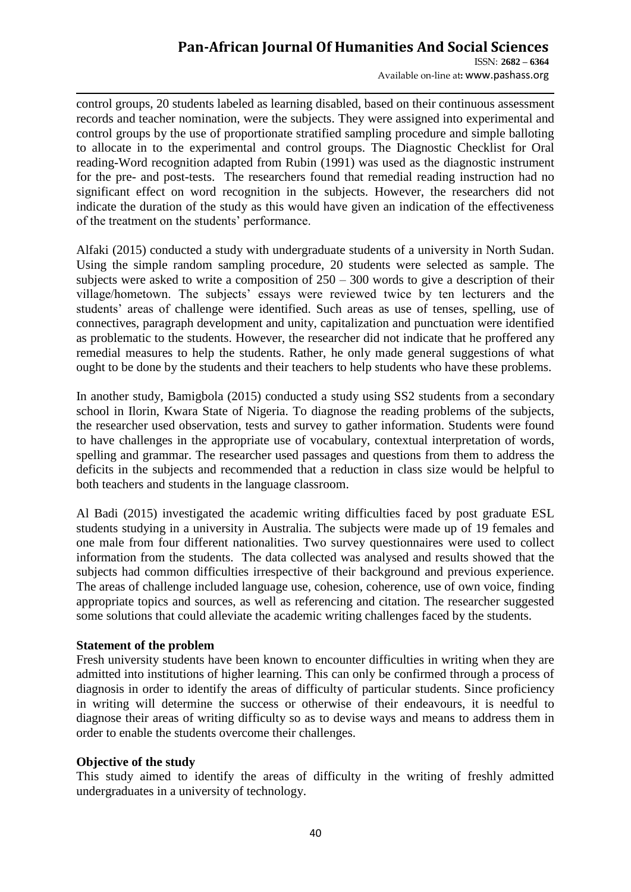# **Pan-African Journal Of Humanities And Social Sciences**

ISSN: **2682 – 6364** Available on-line at**:** www.pashass.org

control groups, 20 students labeled as learning disabled, based on their continuous assessment records and teacher nomination, were the subjects. They were assigned into experimental and control groups by the use of proportionate stratified sampling procedure and simple balloting to allocate in to the experimental and control groups. The Diagnostic Checklist for Oral reading-Word recognition adapted from Rubin (1991) was used as the diagnostic instrument for the pre- and post-tests. The researchers found that remedial reading instruction had no significant effect on word recognition in the subjects. However, the researchers did not indicate the duration of the study as this would have given an indication of the effectiveness of the treatment on the students' performance.

Alfaki (2015) conducted a study with undergraduate students of a university in North Sudan. Using the simple random sampling procedure, 20 students were selected as sample. The subjects were asked to write a composition of  $250 - 300$  words to give a description of their village/hometown. The subjects' essays were reviewed twice by ten lecturers and the students' areas of challenge were identified. Such areas as use of tenses, spelling, use of connectives, paragraph development and unity, capitalization and punctuation were identified as problematic to the students. However, the researcher did not indicate that he proffered any remedial measures to help the students. Rather, he only made general suggestions of what ought to be done by the students and their teachers to help students who have these problems.

In another study, Bamigbola (2015) conducted a study using SS2 students from a secondary school in Ilorin, Kwara State of Nigeria. To diagnose the reading problems of the subjects, the researcher used observation, tests and survey to gather information. Students were found to have challenges in the appropriate use of vocabulary, contextual interpretation of words, spelling and grammar. The researcher used passages and questions from them to address the deficits in the subjects and recommended that a reduction in class size would be helpful to both teachers and students in the language classroom.

Al Badi (2015) investigated the academic writing difficulties faced by post graduate ESL students studying in a university in Australia. The subjects were made up of 19 females and one male from four different nationalities. Two survey questionnaires were used to collect information from the students. The data collected was analysed and results showed that the subjects had common difficulties irrespective of their background and previous experience. The areas of challenge included language use, cohesion, coherence, use of own voice, finding appropriate topics and sources, as well as referencing and citation. The researcher suggested some solutions that could alleviate the academic writing challenges faced by the students.

#### **Statement of the problem**

Fresh university students have been known to encounter difficulties in writing when they are admitted into institutions of higher learning. This can only be confirmed through a process of diagnosis in order to identify the areas of difficulty of particular students. Since proficiency in writing will determine the success or otherwise of their endeavours, it is needful to diagnose their areas of writing difficulty so as to devise ways and means to address them in order to enable the students overcome their challenges.

#### **Objective of the study**

This study aimed to identify the areas of difficulty in the writing of freshly admitted undergraduates in a university of technology.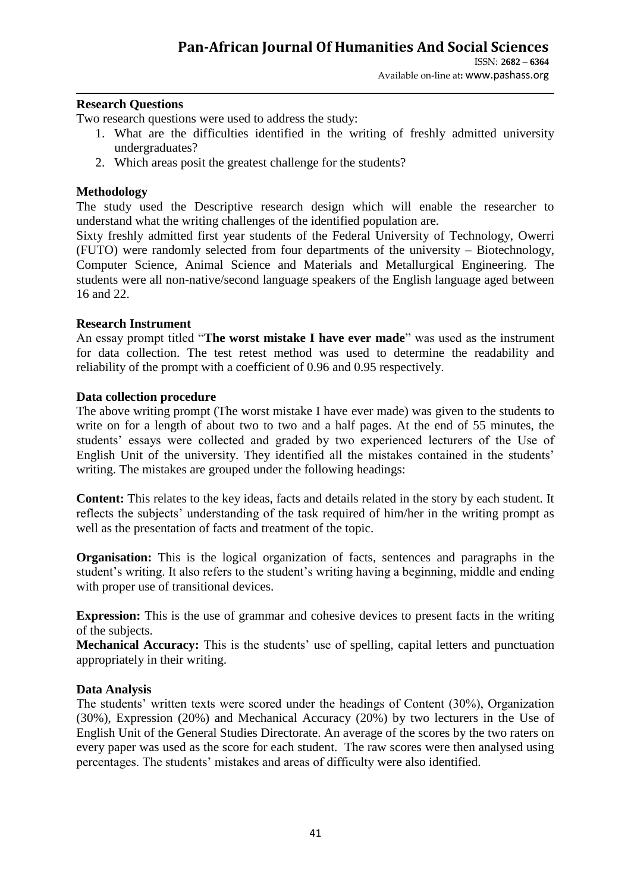#### **Research Questions**

Two research questions were used to address the study:

- 1. What are the difficulties identified in the writing of freshly admitted university undergraduates?
- 2. Which areas posit the greatest challenge for the students?

#### **Methodology**

The study used the Descriptive research design which will enable the researcher to understand what the writing challenges of the identified population are.

Sixty freshly admitted first year students of the Federal University of Technology, Owerri (FUTO) were randomly selected from four departments of the university – Biotechnology, Computer Science, Animal Science and Materials and Metallurgical Engineering. The students were all non-native/second language speakers of the English language aged between 16 and 22.

#### **Research Instrument**

An essay prompt titled "**The worst mistake I have ever made**" was used as the instrument for data collection. The test retest method was used to determine the readability and reliability of the prompt with a coefficient of 0.96 and 0.95 respectively.

#### **Data collection procedure**

The above writing prompt (The worst mistake I have ever made) was given to the students to write on for a length of about two to two and a half pages. At the end of 55 minutes, the students' essays were collected and graded by two experienced lecturers of the Use of English Unit of the university. They identified all the mistakes contained in the students' writing. The mistakes are grouped under the following headings:

**Content:** This relates to the key ideas, facts and details related in the story by each student. It reflects the subjects' understanding of the task required of him/her in the writing prompt as well as the presentation of facts and treatment of the topic.

**Organisation:** This is the logical organization of facts, sentences and paragraphs in the student's writing. It also refers to the student's writing having a beginning, middle and ending with proper use of transitional devices.

**Expression:** This is the use of grammar and cohesive devices to present facts in the writing of the subjects.

**Mechanical Accuracy:** This is the students' use of spelling, capital letters and punctuation appropriately in their writing.

#### **Data Analysis**

The students' written texts were scored under the headings of Content (30%), Organization (30%), Expression (20%) and Mechanical Accuracy (20%) by two lecturers in the Use of English Unit of the General Studies Directorate. An average of the scores by the two raters on every paper was used as the score for each student. The raw scores were then analysed using percentages. The students' mistakes and areas of difficulty were also identified.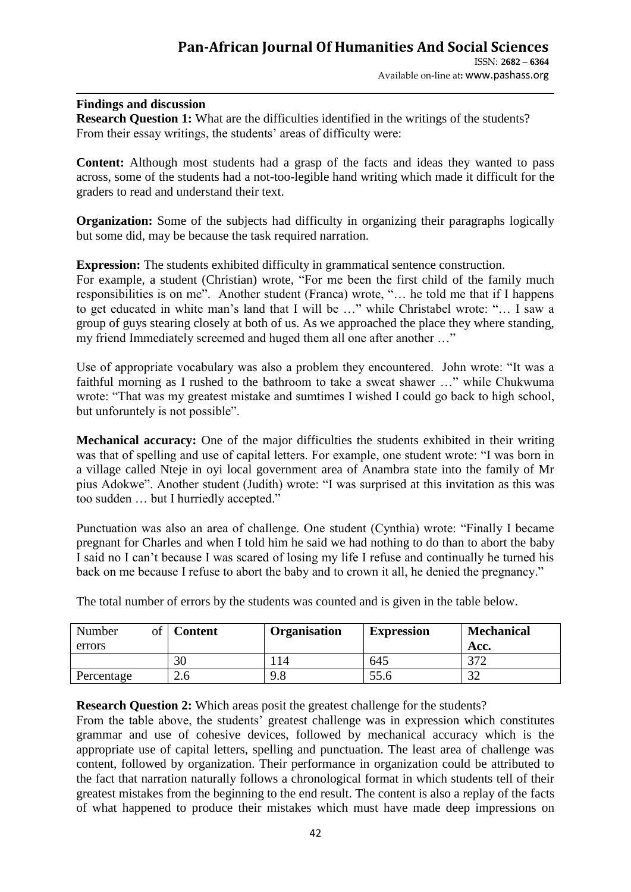#### **Findings and discussion**

**Research Question 1:** What are the difficulties identified in the writings of the students? From their essay writings, the students' areas of difficulty were:

**Content:** Although most students had a grasp of the facts and ideas they wanted to pass across, some of the students had a not-too-legible hand writing which made it difficult for the graders to read and understand their text.

**Organization:** Some of the subjects had difficulty in organizing their paragraphs logically but some did, may be because the task required narration.

**Expression:** The students exhibited difficulty in grammatical sentence construction.

For example, a student (Christian) wrote, "For me been the first child of the family much responsibilities is on me". Another student (Franca) wrote, "… he told me that if I happens to get educated in white man's land that I will be …" while Christabel wrote: "… I saw a group of guys stearing closely at both of us. As we approached the place they where standing, my friend Immediately screemed and huged them all one after another …"

Use of appropriate vocabulary was also a problem they encountered. John wrote: "It was a faithful morning as I rushed to the bathroom to take a sweat shawer …" while Chukwuma wrote: "That was my greatest mistake and sumtimes I wished I could go back to high school, but unforuntely is not possible".

**Mechanical accuracy:** One of the major difficulties the students exhibited in their writing was that of spelling and use of capital letters. For example, one student wrote: "I was born in a village called Nteje in oyi local government area of Anambra state into the family of Mr pius Adokwe". Another student (Judith) wrote: "I was surprised at this invitation as this was too sudden … but I hurriedly accepted."

Punctuation was also an area of challenge. One student (Cynthia) wrote: "Finally I became pregnant for Charles and when I told him he said we had nothing to do than to abort the baby I said no I can't because I was scared of losing my life I refuse and continually he turned his back on me because I refuse to abort the baby and to crown it all, he denied the pregnancy."

| Number<br>of<br>errors | <b>Content</b> | Organisation | <b>Expression</b> | <b>Mechanical</b><br>Acc. |
|------------------------|----------------|--------------|-------------------|---------------------------|
|                        | 30             | 14           | 645               | n – c                     |
| Percentage             | 2.6            | 9.8          | 55.6              |                           |

The total number of errors by the students was counted and is given in the table below.

**Research Question 2:** Which areas posit the greatest challenge for the students?

From the table above, the students' greatest challenge was in expression which constitutes grammar and use of cohesive devices, followed by mechanical accuracy which is the appropriate use of capital letters, spelling and punctuation. The least area of challenge was content, followed by organization. Their performance in organization could be attributed to the fact that narration naturally follows a chronological format in which students tell of their greatest mistakes from the beginning to the end result. The content is also a replay of the facts of what happened to produce their mistakes which must have made deep impressions on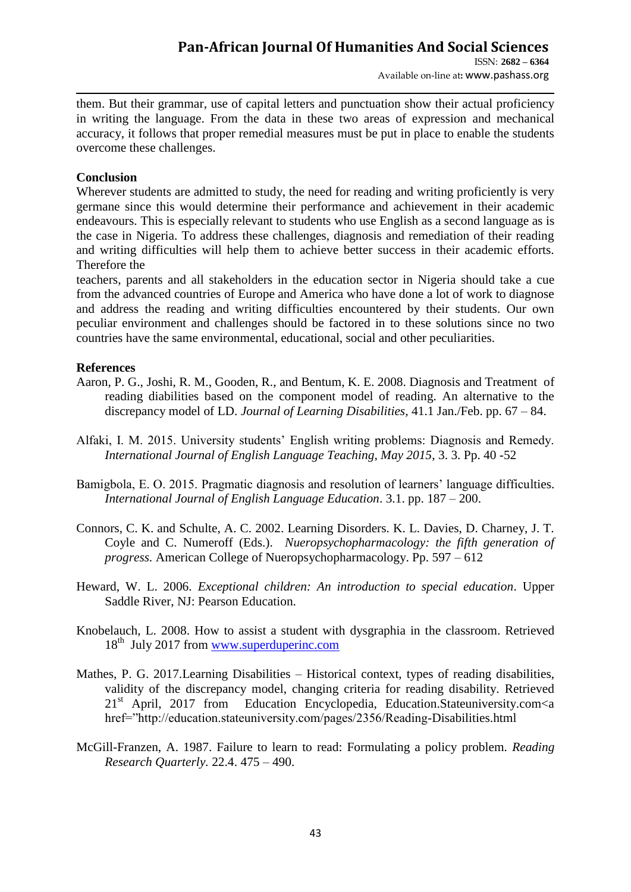them. But their grammar, use of capital letters and punctuation show their actual proficiency in writing the language. From the data in these two areas of expression and mechanical accuracy, it follows that proper remedial measures must be put in place to enable the students overcome these challenges.

#### **Conclusion**

Wherever students are admitted to study, the need for reading and writing proficiently is very germane since this would determine their performance and achievement in their academic endeavours. This is especially relevant to students who use English as a second language as is the case in Nigeria. To address these challenges, diagnosis and remediation of their reading and writing difficulties will help them to achieve better success in their academic efforts. Therefore the

teachers, parents and all stakeholders in the education sector in Nigeria should take a cue from the advanced countries of Europe and America who have done a lot of work to diagnose and address the reading and writing difficulties encountered by their students. Our own peculiar environment and challenges should be factored in to these solutions since no two countries have the same environmental, educational, social and other peculiarities.

#### **References**

- Aaron, P. G., Joshi, R. M., Gooden, R., and Bentum, K. E. 2008. Diagnosis and Treatment of reading diabilities based on the component model of reading. An alternative to the discrepancy model of LD. *Journal of Learning Disabilities*, 41.1 Jan./Feb. pp. 67 – 84.
- Alfaki, I. M. 2015. University students' English writing problems: Diagnosis and Remedy. *International Journal of English Language Teaching, May 2015*, 3. 3. Pp. 40 -52
- Bamigbola, E. O. 2015. Pragmatic diagnosis and resolution of learners' language difficulties. *International Journal of English Language Education*. 3.1. pp. 187 – 200.
- Connors, C. K. and Schulte, A. C. 2002. Learning Disorders. K. L. Davies, D. Charney, J. T. Coyle and C. Numeroff (Eds.). *Nueropsychopharmacology: the fifth generation of progress.* American College of Nueropsychopharmacology. Pp. 597 – 612
- Heward, W. L. 2006. *Exceptional children: An introduction to special education*. Upper Saddle River, NJ: Pearson Education.
- Knobelauch, L. 2008. How to assist a student with dysgraphia in the classroom. Retrieved 18<sup>th</sup> July 2017 from [www.superduperinc.com](http://www.superduperinc.com/)
- Mathes, P. G. 2017.Learning Disabilities Historical context, types of reading disabilities, validity of the discrepancy model, changing criteria for reading disability. Retrieved  $21<sup>st</sup>$  April, 2017 from Education Encyclopedia, Education.Stateuniversity.com $\lt a$ href="http://education.stateuniversity.com/pages/2356/Reading-Disabilities.html
- McGill-Franzen, A. 1987. Failure to learn to read: Formulating a policy problem. *Reading Research Quarterly.* 22.4. 475 – 490.